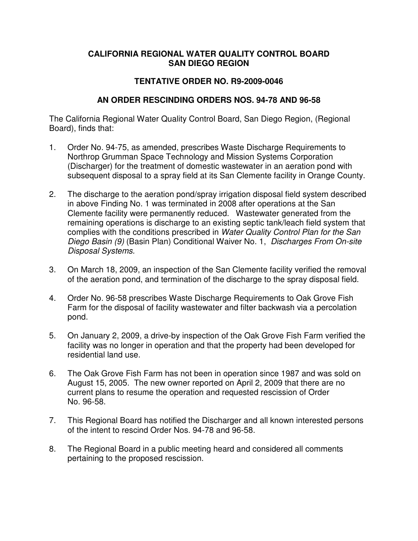## **CALIFORNIA REGIONAL WATER QUALITY CONTROL BOARD SAN DIEGO REGION**

## **TENTATIVE ORDER NO. R9-2009-0046**

## **AN ORDER RESCINDING ORDERS NOS. 94-78 AND 96-58**

The California Regional Water Quality Control Board, San Diego Region, (Regional Board), finds that:

- 1. Order No. 94-75, as amended, prescribes Waste Discharge Requirements to Northrop Grumman Space Technology and Mission Systems Corporation (Discharger) for the treatment of domestic wastewater in an aeration pond with subsequent disposal to a spray field at its San Clemente facility in Orange County.
- 2. The discharge to the aeration pond/spray irrigation disposal field system described in above Finding No. 1 was terminated in 2008 after operations at the San Clemente facility were permanently reduced. Wastewater generated from the remaining operations is discharge to an existing septic tank/leach field system that complies with the conditions prescribed in *Water Quality Control Plan for the San Diego Basin (9)* (Basin Plan) Conditional Waiver No. 1, *Discharges From On-site Disposal Systems.*
- 3. On March 18, 2009, an inspection of the San Clemente facility verified the removal of the aeration pond, and termination of the discharge to the spray disposal field.
- 4. Order No. 96-58 prescribes Waste Discharge Requirements to Oak Grove Fish Farm for the disposal of facility wastewater and filter backwash via a percolation pond.
- 5. On January 2, 2009, a drive-by inspection of the Oak Grove Fish Farm verified the facility was no longer in operation and that the property had been developed for residential land use.
- 6. The Oak Grove Fish Farm has not been in operation since 1987 and was sold on August 15, 2005. The new owner reported on April 2, 2009 that there are no current plans to resume the operation and requested rescission of Order No. 96-58.
- 7. This Regional Board has notified the Discharger and all known interested persons of the intent to rescind Order Nos. 94-78 and 96-58.
- 8. The Regional Board in a public meeting heard and considered all comments pertaining to the proposed rescission.